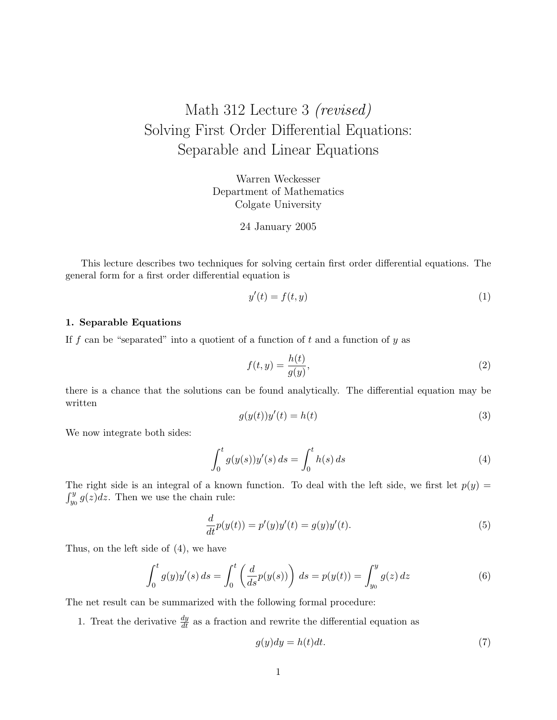## Math 312 Lecture 3 (revised) Solving First Order Differential Equations: Separable and Linear Equations

Warren Weckesser Department of Mathematics Colgate University

24 January 2005

This lecture describes two techniques for solving certain first order differential equations. The general form for a first order differential equation is

$$
y'(t) = f(t, y) \tag{1}
$$

## 1. Separable Equations

If f can be "separated" into a quotient of a function of t and a function of  $y$  as

$$
f(t,y) = \frac{h(t)}{g(y)},
$$
\n(2)

there is a chance that the solutions can be found analytically. The differential equation may be written

$$
g(y(t))y'(t) = h(t)
$$
\n(3)

We now integrate both sides:

$$
\int_0^t g(y(s))y'(s) \, ds = \int_0^t h(s) \, ds \tag{4}
$$

The right side is an integral of a known function. To deal with the left side, we first let  $p(y)$  =  $\int_{y_0}^{y} g(z) dz$ . Then we use the chain rule:

$$
\frac{d}{dt}p(y(t)) = p'(y)y'(t) = g(y)y'(t).
$$
\n(5)

Thus, on the left side of (4), we have

$$
\int_0^t g(y)y'(s) \, ds = \int_0^t \left( \frac{d}{ds} p(y(s)) \right) \, ds = p(y(t)) = \int_{y_0}^y g(z) \, dz \tag{6}
$$

The net result can be summarized with the following formal procedure:

1. Treat the derivative  $\frac{dy}{dt}$  as a fraction and rewrite the differential equation as

$$
g(y)dy = h(t)dt.
$$
\n(7)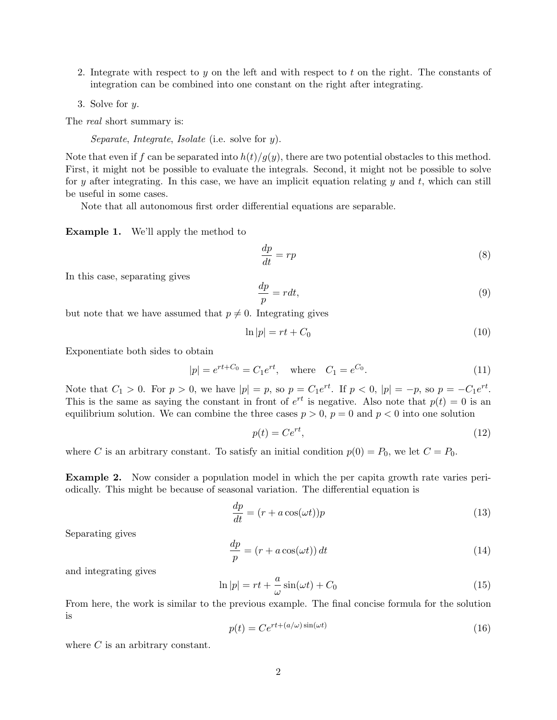- 2. Integrate with respect to y on the left and with respect to t on the right. The constants of integration can be combined into one constant on the right after integrating.
- 3. Solve for y.

The *real* short summary is:

Separate, Integrate, Isolate (i.e. solve for y).

Note that even if f can be separated into  $h(t)/g(y)$ , there are two potential obstacles to this method. First, it might not be possible to evaluate the integrals. Second, it might not be possible to solve for y after integrating. In this case, we have an implicit equation relating y and t, which can still be useful in some cases.

Note that all autonomous first order differential equations are separable.

Example 1. We'll apply the method to

$$
\frac{dp}{dt} = rp \tag{8}
$$

In this case, separating gives

$$
\frac{dp}{p} = rdt,\t\t(9)
$$

but note that we have assumed that  $p \neq 0$ . Integrating gives

$$
\ln|p| = rt + C_0 \tag{10}
$$

Exponentiate both sides to obtain

$$
|p| = e^{rt + C_0} = C_1 e^{rt}, \quad \text{where} \quad C_1 = e^{C_0}.
$$
 (11)

Note that  $C_1 > 0$ . For  $p > 0$ , we have  $|p| = p$ , so  $p = C_1 e^{rt}$ . If  $p < 0$ ,  $|p| = -p$ , so  $p = -C_1 e^{rt}$ . This is the same as saying the constant in front of  $e^{rt}$  is negative. Also note that  $p(t) = 0$  is an equilibrium solution. We can combine the three cases  $p > 0$ ,  $p = 0$  and  $p < 0$  into one solution

$$
p(t) = Ce^{rt},\tag{12}
$$

where C is an arbitrary constant. To satisfy an initial condition  $p(0) = P_0$ , we let  $C = P_0$ .

Example 2. Now consider a population model in which the per capita growth rate varies periodically. This might be because of seasonal variation. The differential equation is

$$
\frac{dp}{dt} = (r + a\cos(\omega t))p\tag{13}
$$

Separating gives

$$
\frac{dp}{p} = (r + a\cos(\omega t)) dt
$$
\n(14)

and integrating gives

$$
\ln|p| = rt + \frac{a}{\omega}\sin(\omega t) + C_0\tag{15}
$$

From here, the work is similar to the previous example. The final concise formula for the solution is

$$
p(t) = Ce^{rt + (a/\omega)\sin(\omega t)}
$$
\n(16)

where  $C$  is an arbitrary constant.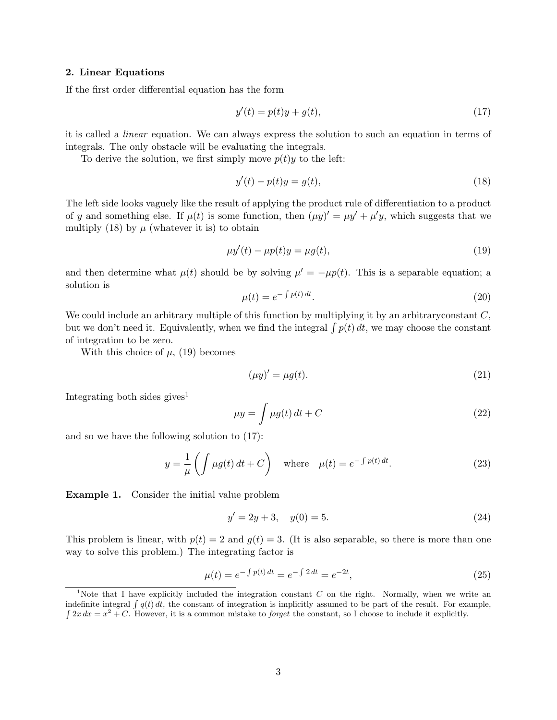## 2. Linear Equations

If the first order differential equation has the form

$$
y'(t) = p(t)y + g(t),\tag{17}
$$

it is called a linear equation. We can always express the solution to such an equation in terms of integrals. The only obstacle will be evaluating the integrals.

To derive the solution, we first simply move  $p(t)y$  to the left:

$$
y'(t) - p(t)y = g(t),\tag{18}
$$

The left side looks vaguely like the result of applying the product rule of differentiation to a product of y and something else. If  $\mu(t)$  is some function, then  $(\mu y)' = \mu y' + \mu' y$ , which suggests that we multiply (18) by  $\mu$  (whatever it is) to obtain

$$
\mu y'(t) - \mu p(t)y = \mu g(t),\tag{19}
$$

and then determine what  $\mu(t)$  should be by solving  $\mu' = -\mu p(t)$ . This is a separable equation; a solution is

$$
\mu(t) = e^{-\int p(t) dt}.\tag{20}
$$

We could include an arbitrary multiple of this function by multiplying it by an arbitrary constant  $C$ , but we don't need it. Equivalently, when we find the integral  $\int p(t) dt$ , we may choose the constant of integration to be zero.

With this choice of  $\mu$ , (19) becomes

$$
(\mu y)' = \mu g(t). \tag{21}
$$

Integrating both sides gives<sup>1</sup>

$$
\mu y = \int \mu g(t) dt + C \tag{22}
$$

and so we have the following solution to (17):

$$
y = \frac{1}{\mu} \left( \int \mu g(t) dt + C \right) \quad \text{where} \quad \mu(t) = e^{-\int p(t) dt}.
$$
 (23)

Example 1. Consider the initial value problem

$$
y' = 2y + 3, \quad y(0) = 5.
$$
\n<sup>(24)</sup>

This problem is linear, with  $p(t) = 2$  and  $q(t) = 3$ . (It is also separable, so there is more than one way to solve this problem.) The integrating factor is

$$
\mu(t) = e^{-\int p(t) dt} = e^{-\int 2 dt} = e^{-2t},\tag{25}
$$

<sup>&</sup>lt;sup>1</sup>Note that I have explicitly included the integration constant  $C$  on the right. Normally, when we write an indefinite integral  $\int q(t) dt$ , the constant of integration is implicitly assumed to be part of the result. For example,  $\int 2x dx = x^2 + C$ . However, it is a common mistake to *forget* the constant, so I choose to include it explicitly.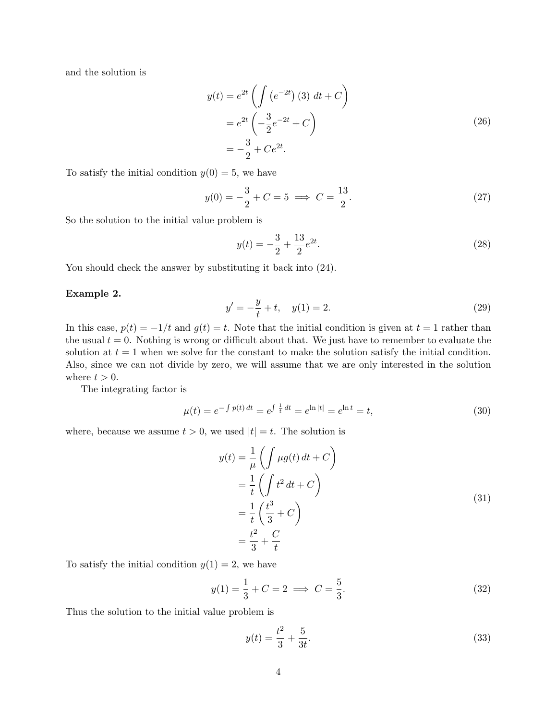and the solution is

$$
y(t) = e^{2t} \left( \int (e^{-2t}) (3) dt + C \right)
$$
  
=  $e^{2t} \left( -\frac{3}{2} e^{-2t} + C \right)$   
=  $-\frac{3}{2} + Ce^{2t}$ . (26)

To satisfy the initial condition  $y(0) = 5$ , we have

$$
y(0) = -\frac{3}{2} + C = 5 \implies C = \frac{13}{2}.
$$
 (27)

So the solution to the initial value problem is

$$
y(t) = -\frac{3}{2} + \frac{13}{2}e^{2t}.\tag{28}
$$

You should check the answer by substituting it back into (24).

## Example 2.

$$
y' = -\frac{y}{t} + t, \quad y(1) = 2.
$$
 (29)

In this case,  $p(t) = -1/t$  and  $q(t) = t$ . Note that the initial condition is given at  $t = 1$  rather than the usual  $t = 0$ . Nothing is wrong or difficult about that. We just have to remember to evaluate the solution at  $t = 1$  when we solve for the constant to make the solution satisfy the initial condition. Also, since we can not divide by zero, we will assume that we are only interested in the solution where  $t > 0$ .

The integrating factor is

$$
\mu(t) = e^{-\int p(t) dt} = e^{\int \frac{1}{t} dt} = e^{\ln|t|} = e^{\ln t} = t,\tag{30}
$$

where, because we assume  $t > 0$ , we used  $|t| = t$ . The solution is

$$
y(t) = \frac{1}{\mu} \left( \int \mu g(t) dt + C \right)
$$
  
=  $\frac{1}{t} \left( \int t^2 dt + C \right)$   
=  $\frac{1}{t} \left( \frac{t^3}{3} + C \right)$   
=  $\frac{t^2}{3} + \frac{C}{t}$  (31)

To satisfy the initial condition  $y(1) = 2$ , we have

$$
y(1) = \frac{1}{3} + C = 2 \implies C = \frac{5}{3}.
$$
 (32)

Thus the solution to the initial value problem is

$$
y(t) = \frac{t^2}{3} + \frac{5}{3t}.\tag{33}
$$